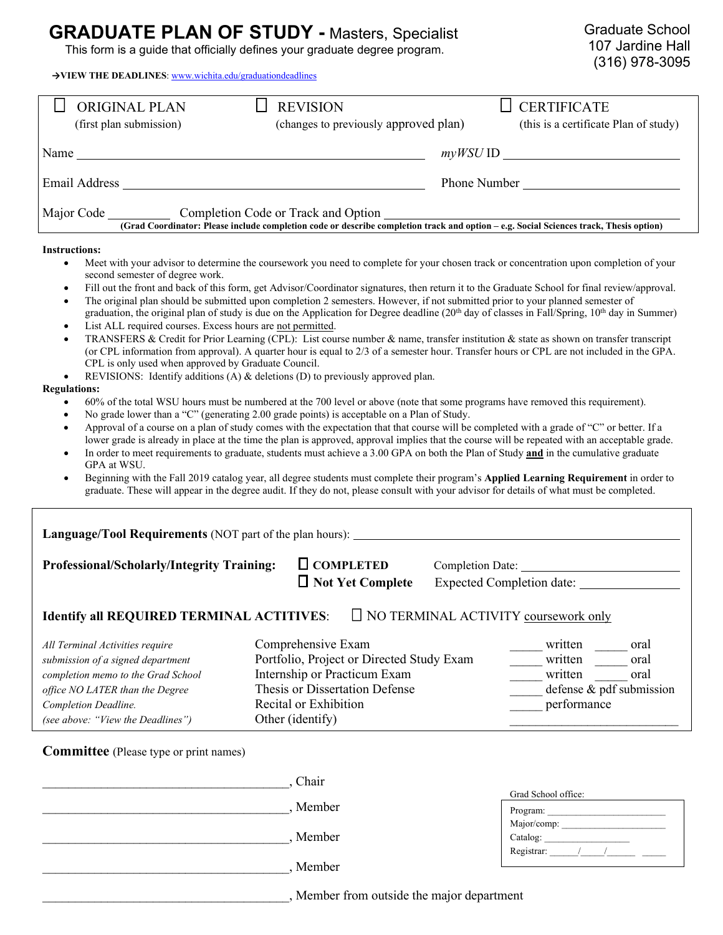## **GRADUATE PLAN OF STUDY - Masters, Specialist This form is a guide that officially defines your graduate degree program.**

**→VIEW THE DEADLINES**[: www.wichita.edu/graduationdeadlines](http://www.wichita.edu/graduationdeadlines)

| <b>ORIGINAL PLAN</b>    | <b>REVISION</b>                                                                                                                                                               | <b>CERTIFICATE</b>                    |
|-------------------------|-------------------------------------------------------------------------------------------------------------------------------------------------------------------------------|---------------------------------------|
| (first plan submission) | (changes to previously approved plan)                                                                                                                                         | (this is a certificate Plan of study) |
| Name                    |                                                                                                                                                                               | $myWSU$ ID                            |
| Email Address           |                                                                                                                                                                               | Phone Number                          |
| Major Code              | Completion Code or Track and Option<br>(Grad Coordinator: Please include completion code or describe completion track and option – e.g. Social Sciences track, Thesis option) |                                       |

## **Instructions:**

- Meet with your advisor to determine the coursework you need to complete for your chosen track or concentration upon completion of your second semester of degree work.
- Fill out the front and back of this form, get Advisor/Coordinator signatures, then return it to the Graduate School for final review/approval.
- The original plan should be submitted upon completion 2 semesters. However, if not submitted prior to your planned semester of graduation, the original plan of study is due on the Application for Degree deadline (20<sup>th</sup> day of classes in Fall/Spring, 10<sup>th</sup> day in Summer)
- List ALL required courses. Excess hours are not permitted.
- TRANSFERS & Credit for Prior Learning (CPL): List course number & name, transfer institution & state as shown on transfer transcript (or CPL information from approval). A quarter hour is equal to 2/3 of a semester hour. Transfer hours or CPL are not included in the GPA. CPL is only used when approved by Graduate Council.
- REVISIONS: Identify additions (A)  $\&$  deletions (D) to previously approved plan.

## **Regulations:**

- 60% of the total WSU hours must be numbered at the 700 level or above (note that some programs have removed this requirement).
- No grade lower than a "C" (generating 2.00 grade points) is acceptable on a Plan of Study.
- Approval of a course on a plan of study comes with the expectation that that course will be completed with a grade of "C" or better. If a lower grade is already in place at the time the plan is approved, approval implies that the course will be repeated with an acceptable grade.
- In order to meet requirements to graduate, students must achieve a 3.00 GPA on both the Plan of Study **and** in the cumulative graduate GPA at WSU.
- Beginning with the Fall 2019 catalog year, all degree students must complete their program's **Applied Learning Requirement** in order to graduate. These will appear in the degree audit. If they do not, please consult with your advisor for details of what must be completed.

| Language/Tool Requirements (NOT part of the plan hours):                                                                                                                                                   |  |                                                                                                                                                                                |                                                                                                  |                     |  |  |  |
|------------------------------------------------------------------------------------------------------------------------------------------------------------------------------------------------------------|--|--------------------------------------------------------------------------------------------------------------------------------------------------------------------------------|--------------------------------------------------------------------------------------------------|---------------------|--|--|--|
| <b>Professional/Scholarly/Integrity Training:</b>                                                                                                                                                          |  | $\Box$ COMPLETED<br>$\Box$ Not Yet Complete                                                                                                                                    | Completion Date:<br><b>Expected Completion date:</b>                                             |                     |  |  |  |
| $\Box$ NO TERMINAL ACTIVITY coursework only<br><b>Identify all REQUIRED TERMINAL ACTITIVES:</b>                                                                                                            |  |                                                                                                                                                                                |                                                                                                  |                     |  |  |  |
| All Terminal Activities require<br>submission of a signed department<br>completion memo to the Grad School<br>office NO LATER than the Degree<br>Completion Deadline.<br>(see above: "View the Deadlines") |  | Comprehensive Exam<br>Portfolio, Project or Directed Study Exam<br>Internship or Practicum Exam<br>Thesis or Dissertation Defense<br>Recital or Exhibition<br>Other (identify) | written<br>oral<br>written<br>oral<br>written<br>oral<br>defense & pdf submission<br>performance |                     |  |  |  |
| <b>Committee</b> (Please type or print names)                                                                                                                                                              |  |                                                                                                                                                                                |                                                                                                  |                     |  |  |  |
|                                                                                                                                                                                                            |  | Chair                                                                                                                                                                          |                                                                                                  | Grad School office: |  |  |  |

| Program:    |  |  |
|-------------|--|--|
| Major/comp: |  |  |
| Catalog:    |  |  |
| Registrar:  |  |  |

\_\_\_\_\_\_\_\_\_\_\_\_\_\_\_\_\_\_\_\_\_\_\_\_\_\_\_\_\_\_\_\_\_\_\_\_\_\_, Member

\_\_\_\_\_\_\_\_\_\_\_\_\_\_\_\_\_\_\_\_\_\_\_\_\_\_\_\_\_\_\_\_\_\_\_\_\_\_, Member

\_\_\_\_\_\_\_\_\_\_\_\_\_\_\_\_\_\_\_\_\_\_\_\_\_\_\_\_\_\_\_\_\_\_\_\_\_\_, Member

\_\_\_\_\_\_\_\_\_\_\_\_\_\_\_\_\_\_\_\_\_\_\_\_\_\_\_\_\_\_\_\_\_\_\_\_\_\_, Member from outside the major department